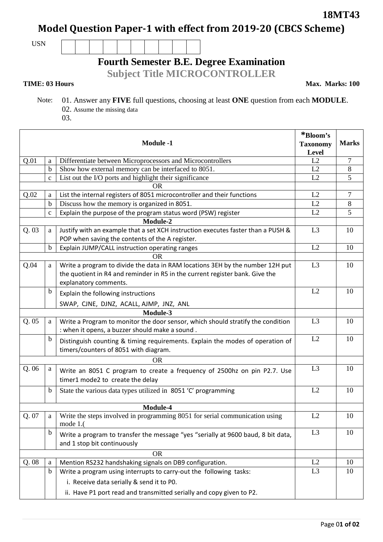**18MT43**

**Model Question Paper-1 with effect from 2019-20 (CBCS Scheme)**

USN

## **Fourth Semester B.E. Degree Examination**

**Subject Title MICROCONTROLLER**

## **TIME: 03 Hours**

**Max. Marks: 100**

- Note: 01. Answer any **FIVE** full questions, choosing at least **ONE** question from each **MODULE**. 02. Assume the missing data
	- 03.

| <b>Module -1</b> |                                                                               |                                                                                                                                                                                        | *Bloom's<br><b>Taxonomy</b><br><b>Level</b> | <b>Marks</b> |
|------------------|-------------------------------------------------------------------------------|----------------------------------------------------------------------------------------------------------------------------------------------------------------------------------------|---------------------------------------------|--------------|
| Q.01             | a                                                                             | Differentiate between Microprocessors and Microcontrollers                                                                                                                             | L2                                          | 7            |
|                  | $\mathbf b$                                                                   | Show how external memory can be interfaced to 8051.                                                                                                                                    | L2                                          | 8            |
|                  | $\mathbf{C}$                                                                  | List out the I/O ports and highlight their significance                                                                                                                                | L2                                          | 5            |
|                  |                                                                               | <b>OR</b>                                                                                                                                                                              |                                             |              |
| Q.02             | a                                                                             | List the internal registers of 8051 microcontroller and their functions                                                                                                                |                                             | 7            |
|                  | b                                                                             | Discuss how the memory is organized in 8051.                                                                                                                                           | L2                                          | 8            |
|                  | Explain the purpose of the program status word (PSW) register<br>$\mathbf{C}$ |                                                                                                                                                                                        | L2                                          | 5            |
|                  |                                                                               | Module-2                                                                                                                                                                               |                                             |              |
| Q.03             | a                                                                             | Justify with an example that a set XCH instruction executes faster than a PUSH &                                                                                                       |                                             | 10           |
|                  |                                                                               | POP when saving the contents of the A register.                                                                                                                                        |                                             |              |
|                  | $\mathbf b$                                                                   | Explain JUMP/CALL instruction operating ranges                                                                                                                                         | L2                                          | 10           |
|                  |                                                                               | <b>OR</b>                                                                                                                                                                              |                                             |              |
| Q.04             | a                                                                             | Write a program to divide the data in RAM locations 3EH by the number 12H put<br>the quotient in R4 and reminder in R5 in the current register bank. Give the<br>explanatory comments. | L <sub>3</sub>                              | 10           |
|                  | $\mathbf b$                                                                   | Explain the following instructions                                                                                                                                                     | L2                                          | 10           |
|                  |                                                                               | SWAP, CJNE, DJNZ, ACALL, AJMP, JNZ, ANL                                                                                                                                                |                                             |              |
|                  |                                                                               | Module-3                                                                                                                                                                               |                                             |              |
| Q.05             | a                                                                             | Write a Program to monitor the door sensor, which should stratify the condition<br>: when it opens, a buzzer should make a sound.                                                      | L <sub>3</sub>                              | 10           |
|                  | b                                                                             | Distinguish counting & timing requirements. Explain the modes of operation of<br>timers/counters of 8051 with diagram.                                                                 | L2                                          | 10           |
|                  |                                                                               | <b>OR</b>                                                                                                                                                                              |                                             |              |
| Q.06             | a                                                                             | Write an 8051 C program to create a frequency of 2500hz on pin P2.7. Use<br>timer1 mode2 to create the delay                                                                           | L3                                          | 10           |
|                  | $\mathbf b$                                                                   | State the various data types utilized in 8051 'C' programming                                                                                                                          | L2                                          | 10           |
|                  |                                                                               | Module-4                                                                                                                                                                               |                                             |              |
| Q. 07            | a                                                                             | Write the steps involved in programming 8051 for serial communication using<br>mode $1.($                                                                                              | L2                                          | 10           |
|                  | $\mathbf b$                                                                   | Write a program to transfer the message "yes "serially at 9600 baud, 8 bit data,<br>and 1 stop bit continuously                                                                        | L <sub>3</sub>                              | 10           |
|                  |                                                                               | <b>OR</b>                                                                                                                                                                              |                                             |              |
| Q.08             | a                                                                             | Mention RS232 handshaking signals on DB9 configuration.                                                                                                                                | L2                                          | 10           |
|                  | $\mathbf b$                                                                   | Write a program using interrupts to carry-out the following tasks:                                                                                                                     | L <sub>3</sub>                              | 10           |
|                  |                                                                               | i. Receive data serially & send it to P0.                                                                                                                                              |                                             |              |
|                  |                                                                               | ii. Have P1 port read and transmitted serially and copy given to P2.                                                                                                                   |                                             |              |
|                  |                                                                               |                                                                                                                                                                                        |                                             |              |